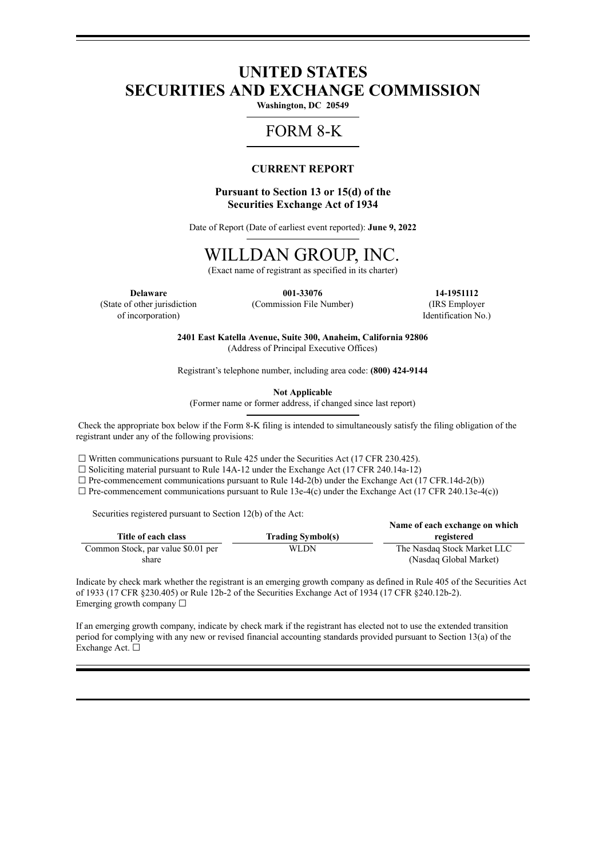# **UNITED STATES SECURITIES AND EXCHANGE COMMISSION**

**Washington, DC 20549**

# FORM 8-K

# **CURRENT REPORT**

# **Pursuant to Section 13 or 15(d) of the Securities Exchange Act of 1934**

Date of Report (Date of earliest event reported): **June 9, 2022**

# WILLDAN GROUP, INC.

(Exact name of registrant as specified in its charter)

(State of other jurisdiction of incorporation)

(Commission File Number) (IRS Employer

**Delaware 001-33076 14-1951112** Identification No.)

> **2401 East Katella Avenue, Suite 300, Anaheim, California 92806** (Address of Principal Executive Offices)

> Registrant's telephone number, including area code: **(800) 424-9144**

**Not Applicable**

(Former name or former address, if changed since last report)

Check the appropriate box below if the Form 8-K filing is intended to simultaneously satisfy the filing obligation of the registrant under any of the following provisions:

 $\Box$  Written communications pursuant to Rule 425 under the Securities Act (17 CFR 230.425).

 $\Box$  Soliciting material pursuant to Rule 14A-12 under the Exchange Act (17 CFR 240.14a-12)

 $\Box$  Pre-commencement communications pursuant to Rule 14d-2(b) under the Exchange Act (17 CFR.14d-2(b))

 $\Box$  Pre-commencement communications pursuant to Rule 13e-4(c) under the Exchange Act (17 CFR 240.13e-4(c))

Securities registered pursuant to Section 12(b) of the Act:

|                                    |                          | Name of each exchange on which |
|------------------------------------|--------------------------|--------------------------------|
| Title of each class                | <b>Trading Symbol(s)</b> | registered                     |
| Common Stock, par value \$0.01 per | WLDN                     | The Nasdaq Stock Market LLC    |
| share                              |                          | (Nasdaq Global Market)         |

Indicate by check mark whether the registrant is an emerging growth company as defined in Rule 405 of the Securities Act of 1933 (17 CFR §230.405) or Rule 12b-2 of the Securities Exchange Act of 1934 (17 CFR §240.12b-2). Emerging growth company  $\Box$ 

If an emerging growth company, indicate by check mark if the registrant has elected not to use the extended transition period for complying with any new or revised financial accounting standards provided pursuant to Section 13(a) of the Exchange Act. □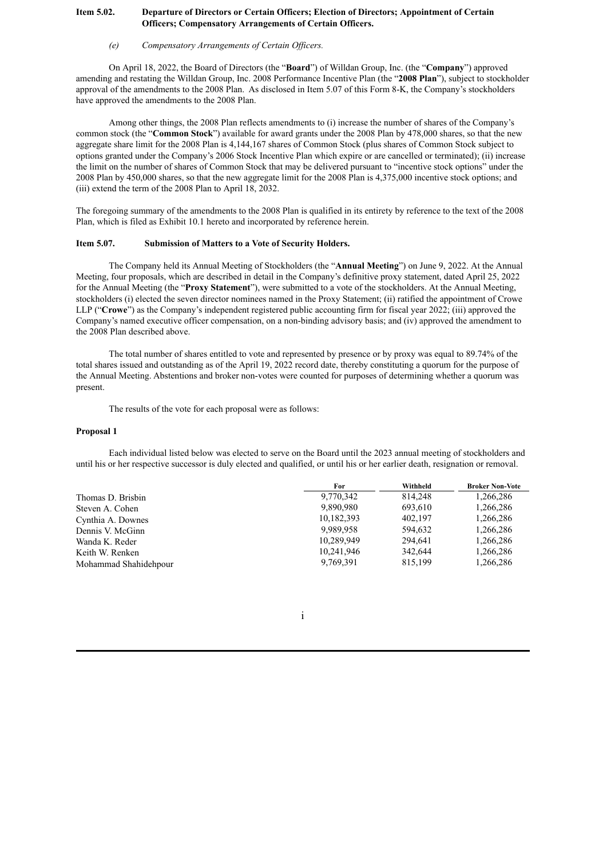# **Item 5.02. Departure of Directors or Certain Officers; Election of Directors; Appointment of Certain Officers; Compensatory Arrangements of Certain Officers.**

#### *(e) Compensatory Arrangements of Certain Of icers.*

On April 18, 2022, the Board of Directors (the "**Board**") of Willdan Group, Inc. (the "**Company**") approved amending and restating the Willdan Group, Inc. 2008 Performance Incentive Plan (the "**2008 Plan**"), subject to stockholder approval of the amendments to the 2008 Plan. As disclosed in Item 5.07 of this Form 8-K, the Company's stockholders have approved the amendments to the 2008 Plan.

Among other things, the 2008 Plan reflects amendments to (i) increase the number of shares of the Company's common stock (the "**Common Stock**") available for award grants under the 2008 Plan by 478,000 shares, so that the new aggregate share limit for the 2008 Plan is 4,144,167 shares of Common Stock (plus shares of Common Stock subject to options granted under the Company's 2006 Stock Incentive Plan which expire or are cancelled or terminated); (ii) increase the limit on the number of shares of Common Stock that may be delivered pursuant to "incentive stock options" under the 2008 Plan by 450,000 shares, so that the new aggregate limit for the 2008 Plan is 4,375,000 incentive stock options; and (iii) extend the term of the 2008 Plan to April 18, 2032.

The foregoing summary of the amendments to the 2008 Plan is qualified in its entirety by reference to the text of the 2008 Plan, which is filed as Exhibit 10.1 hereto and incorporated by reference herein.

## **Item 5.07. Submission of Matters to a Vote of Security Holders.**

The Company held its Annual Meeting of Stockholders (the "**Annual Meeting**") on June 9, 2022. At the Annual Meeting, four proposals, which are described in detail in the Company's definitive proxy statement, dated April 25, 2022 for the Annual Meeting (the "**Proxy Statement**"), were submitted to a vote of the stockholders. At the Annual Meeting, stockholders (i) elected the seven director nominees named in the Proxy Statement; (ii) ratified the appointment of Crowe LLP ("**Crowe**") as the Company's independent registered public accounting firm for fiscal year 2022; (iii) approved the Company's named executive officer compensation, on a non-binding advisory basis; and (iv) approved the amendment to the 2008 Plan described above.

The total number of shares entitled to vote and represented by presence or by proxy was equal to 89.74% of the total shares issued and outstanding as of the April 19, 2022 record date, thereby constituting a quorum for the purpose of the Annual Meeting. Abstentions and broker non-votes were counted for purposes of determining whether a quorum was present.

The results of the vote for each proposal were as follows:

### **Proposal 1**

Each individual listed below was elected to serve on the Board until the 2023 annual meeting of stockholders and until his or her respective successor is duly elected and qualified, or until his or her earlier death, resignation or removal.

|                       | For        | Withheld | <b>Broker Non-Vote</b> |
|-----------------------|------------|----------|------------------------|
| Thomas D. Brisbin     | 9,770,342  | 814.248  | 1,266,286              |
| Steven A. Cohen       | 9.890.980  | 693,610  | 1,266,286              |
| Cynthia A. Downes     | 10,182,393 | 402,197  | 1,266,286              |
| Dennis V. McGinn      | 9.989.958  | 594.632  | 1,266,286              |
| Wanda K. Reder        | 10.289.949 | 294.641  | 1,266,286              |
| Keith W. Renken       | 10,241,946 | 342.644  | 1,266,286              |
| Mohammad Shahidehpour | 9,769,391  | 815,199  | 1,266,286              |

i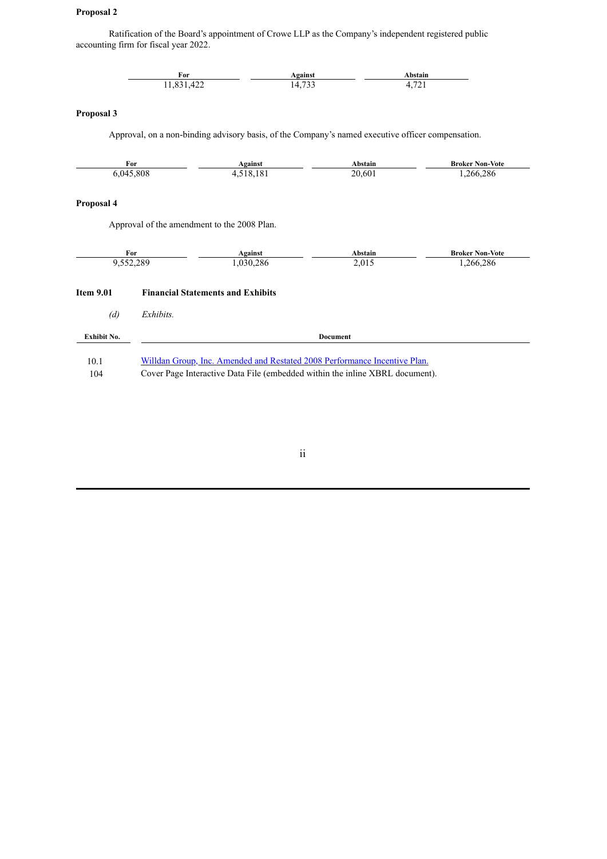# **Proposal 2**

Ratification of the Board's appointment of Crowe LLP as the Company's independent registered public accounting firm for fiscal year 2022.

|                    | For<br>11,831,422                                                            | <b>Against</b><br>14,733                                                                          |         | Abstain<br>4,721       |  |
|--------------------|------------------------------------------------------------------------------|---------------------------------------------------------------------------------------------------|---------|------------------------|--|
| Proposal 3         |                                                                              |                                                                                                   |         |                        |  |
|                    |                                                                              | Approval, on a non-binding advisory basis, of the Company's named executive officer compensation. |         |                        |  |
|                    | For<br>6,045,808                                                             | Against<br>4,518,181                                                                              | Abstain | <b>Broker Non-Vote</b> |  |
|                    |                                                                              |                                                                                                   | 20,601  | 1,266,286              |  |
| Proposal 4         |                                                                              |                                                                                                   |         |                        |  |
|                    |                                                                              | Approval of the amendment to the 2008 Plan.                                                       |         |                        |  |
|                    | For                                                                          | <b>Against</b>                                                                                    | Abstain | <b>Broker Non-Vote</b> |  |
|                    | 9,552,289                                                                    | 1,030,286                                                                                         | 2,015   | 1,266,286              |  |
| <b>Item 9.01</b>   | <b>Financial Statements and Exhibits</b>                                     |                                                                                                   |         |                        |  |
| (d)                | Exhibits.                                                                    |                                                                                                   |         |                        |  |
| <b>Exhibit No.</b> | <b>Document</b>                                                              |                                                                                                   |         |                        |  |
| 10.1               | Willdan Group, Inc. Amended and Restated 2008 Performance Incentive Plan.    |                                                                                                   |         |                        |  |
| 104                | Cover Page Interactive Data File (embedded within the inline XBRL document). |                                                                                                   |         |                        |  |

ii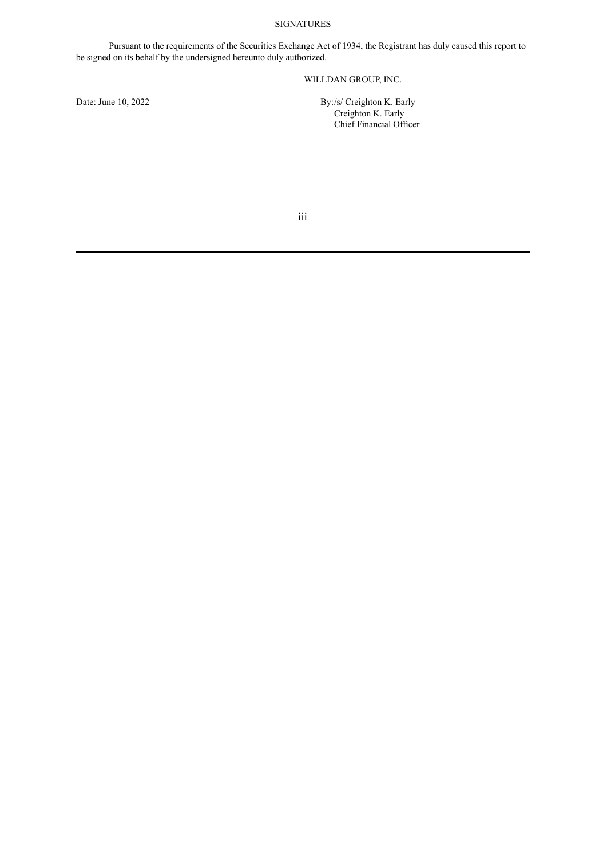# SIGNATURES

Pursuant to the requirements of the Securities Exchange Act of 1934, the Registrant has duly caused this report to be signed on its behalf by the undersigned hereunto duly authorized.

# WILLDAN GROUP, INC.

Date: June 10, 2022 By:/s/ Creighton K. Early

Creighton K. Early Chief Financial Officer

iii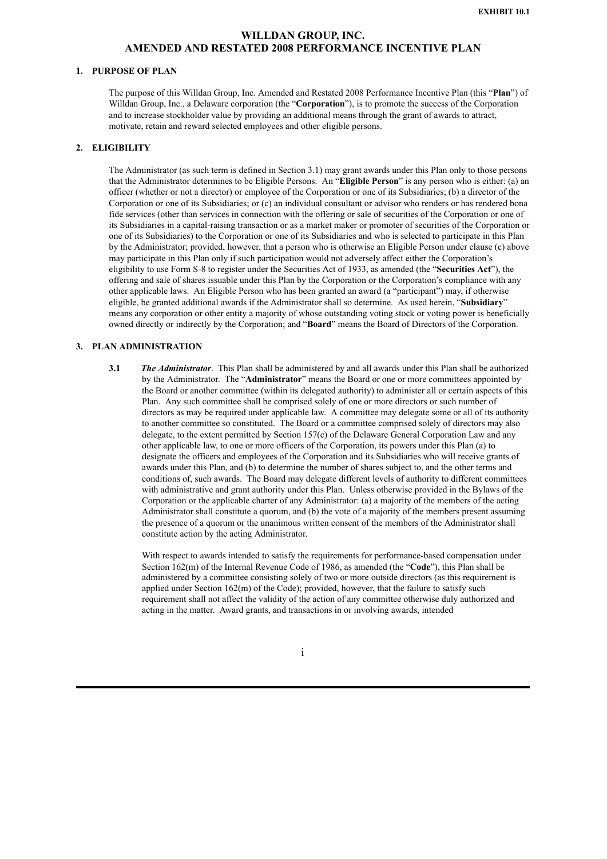# **WILLDAN GROUP, INC. AMENDED AND RESTATED 2008 PERFORMANCE INCENTIVE PLAN**

## <span id="page-4-0"></span>**1. PURPOSE OF PLAN**

The purpose of this Willdan Group, Inc. Amended and Restated 2008 Performance Incentive Plan (this "**Plan**") of Willdan Group, Inc., a Delaware corporation (the "**Corporation**"), is to promote the success of the Corporation and to increase stockholder value by providing an additional means through the grant of awards to attract, motivate, retain and reward selected employees and other eligible persons.

#### **2. ELIGIBILITY**

The Administrator (as such term is defined in Section 3.1) may grant awards under this Plan only to those persons that the Administrator determines to be Eligible Persons. An "**Eligible Person**" is any person who is either: (a) an officer (whether or not a director) or employee of the Corporation or one of its Subsidiaries; (b) a director of the Corporation or one of its Subsidiaries; or (c) an individual consultant or advisor who renders or has rendered bona fide services (other than services in connection with the offering or sale of securities of the Corporation or one of its Subsidiaries in a capital-raising transaction or as a market maker or promoter of securities of the Corporation or one of its Subsidiaries) to the Corporation or one of its Subsidiaries and who is selected to participate in this Plan by the Administrator; provided, however, that a person who is otherwise an Eligible Person under clause (c) above may participate in this Plan only if such participation would not adversely affect either the Corporation's eligibility to use Form S-8 to register under the Securities Act of 1933, as amended (the "**Securities Act**"), the offering and sale of shares issuable under this Plan by the Corporation or the Corporation's compliance with any other applicable laws. An Eligible Person who has been granted an award (a "participant") may, if otherwise eligible, be granted additional awards if the Administrator shall so determine. As used herein, "**Subsidiary**" means any corporation or other entity a majority of whose outstanding voting stock or voting power is beneficially owned directly or indirectly by the Corporation; and "**Board**" means the Board of Directors of the Corporation.

#### **3. PLAN ADMINISTRATION**

**3.1** *The Administrator*. This Plan shall be administered by and all awards under this Plan shall be authorized by the Administrator. The "**Administrator**" means the Board or one or more committees appointed by the Board or another committee (within its delegated authority) to administer all or certain aspects of this Plan. Any such committee shall be comprised solely of one or more directors or such number of directors as may be required under applicable law. A committee may delegate some or all of its authority to another committee so constituted. The Board or a committee comprised solely of directors may also delegate, to the extent permitted by Section 157(c) of the Delaware General Corporation Law and any other applicable law, to one or more officers of the Corporation, its powers under this Plan (a) to designate the officers and employees of the Corporation and its Subsidiaries who will receive grants of awards under this Plan, and (b) to determine the number of shares subject to, and the other terms and conditions of, such awards. The Board may delegate different levels of authority to different committees with administrative and grant authority under this Plan. Unless otherwise provided in the Bylaws of the Corporation or the applicable charter of any Administrator: (a) a majority of the members of the acting Administrator shall constitute a quorum, and (b) the vote of a majority of the members present assuming the presence of a quorum or the unanimous written consent of the members of the Administrator shall constitute action by the acting Administrator.

With respect to awards intended to satisfy the requirements for performance-based compensation under Section 162(m) of the Internal Revenue Code of 1986, as amended (the "**Code**"), this Plan shall be administered by a committee consisting solely of two or more outside directors (as this requirement is applied under Section 162(m) of the Code); provided, however, that the failure to satisfy such requirement shall not affect the validity of the action of any committee otherwise duly authorized and acting in the matter. Award grants, and transactions in or involving awards, intended

i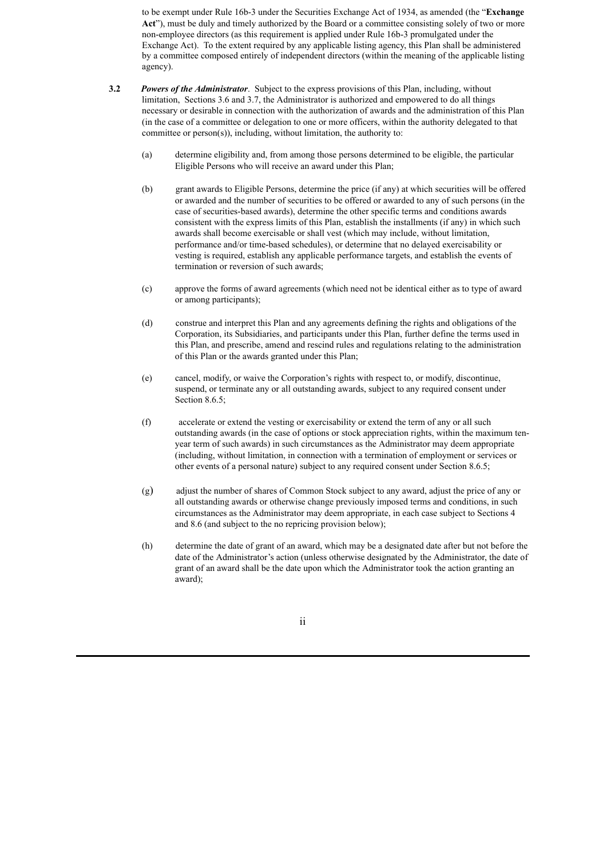to be exempt under Rule 16b-3 under the Securities Exchange Act of 1934, as amended (the "**Exchange** Act"), must be duly and timely authorized by the Board or a committee consisting solely of two or more non-employee directors (as this requirement is applied under Rule 16b-3 promulgated under the Exchange Act). To the extent required by any applicable listing agency, this Plan shall be administered by a committee composed entirely of independent directors (within the meaning of the applicable listing agency).

- **3.2** *Powers of the Administrator*. Subject to the express provisions of this Plan, including, without limitation, Sections 3.6 and 3.7, the Administrator is authorized and empowered to do all things necessary or desirable in connection with the authorization of awards and the administration of this Plan (in the case of a committee or delegation to one or more officers, within the authority delegated to that committee or person(s)), including, without limitation, the authority to:
	- (a) determine eligibility and, from among those persons determined to be eligible, the particular Eligible Persons who will receive an award under this Plan;
	- (b) grant awards to Eligible Persons, determine the price (if any) at which securities will be offered or awarded and the number of securities to be offered or awarded to any of such persons (in the case of securities-based awards), determine the other specific terms and conditions awards consistent with the express limits of this Plan, establish the installments (if any) in which such awards shall become exercisable or shall vest (which may include, without limitation, performance and/or time-based schedules), or determine that no delayed exercisability or vesting is required, establish any applicable performance targets, and establish the events of termination or reversion of such awards;
	- (c) approve the forms of award agreements (which need not be identical either as to type of award or among participants);
	- (d) construe and interpret this Plan and any agreements defining the rights and obligations of the Corporation, its Subsidiaries, and participants under this Plan, further define the terms used in this Plan, and prescribe, amend and rescind rules and regulations relating to the administration of this Plan or the awards granted under this Plan;
	- (e) cancel, modify, or waive the Corporation's rights with respect to, or modify, discontinue, suspend, or terminate any or all outstanding awards, subject to any required consent under Section 8.6.5;
	- (f) accelerate or extend the vesting or exercisability or extend the term of any or all such outstanding awards (in the case of options or stock appreciation rights, within the maximum tenyear term of such awards) in such circumstances as the Administrator may deem appropriate (including, without limitation, in connection with a termination of employment or services or other events of a personal nature) subject to any required consent under Section 8.6.5;
	- (g) adjust the number of shares of Common Stock subject to any award, adjust the price of any or all outstanding awards or otherwise change previously imposed terms and conditions, in such circumstances as the Administrator may deem appropriate, in each case subject to Sections 4 and 8.6 (and subject to the no repricing provision below);
	- (h) determine the date of grant of an award, which may be a designated date after but not before the date of the Administrator's action (unless otherwise designated by the Administrator, the date of grant of an award shall be the date upon which the Administrator took the action granting an award);

ii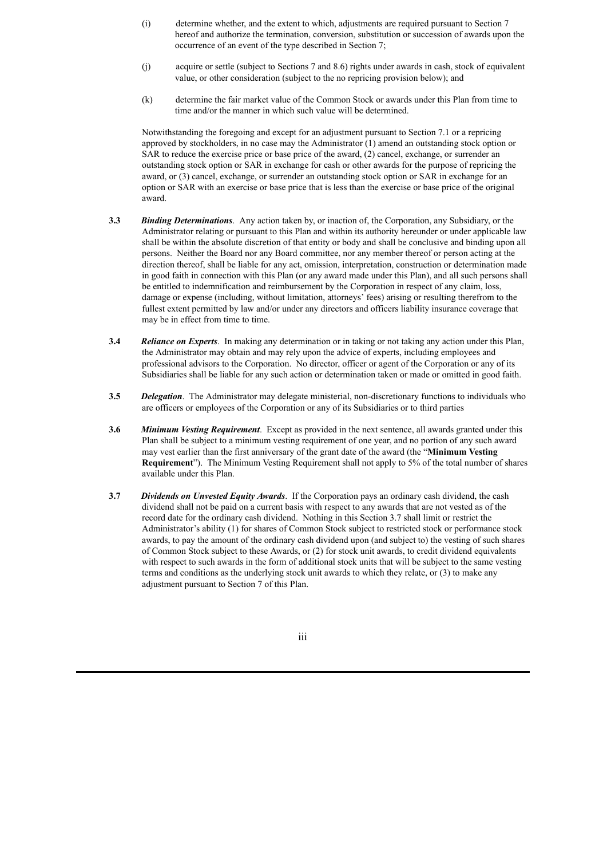- (i) determine whether, and the extent to which, adjustments are required pursuant to Section 7 hereof and authorize the termination, conversion, substitution or succession of awards upon the occurrence of an event of the type described in Section 7;
- (j) acquire or settle (subject to Sections 7 and 8.6) rights under awards in cash, stock of equivalent value, or other consideration (subject to the no repricing provision below); and
- (k) determine the fair market value of the Common Stock or awards under this Plan from time to time and/or the manner in which such value will be determined.

Notwithstanding the foregoing and except for an adjustment pursuant to Section 7.1 or a repricing approved by stockholders, in no case may the Administrator (1) amend an outstanding stock option or SAR to reduce the exercise price or base price of the award, (2) cancel, exchange, or surrender an outstanding stock option or SAR in exchange for cash or other awards for the purpose of repricing the award, or (3) cancel, exchange, or surrender an outstanding stock option or SAR in exchange for an option or SAR with an exercise or base price that is less than the exercise or base price of the original award.

- **3.3** *Binding Determinations*. Any action taken by, or inaction of, the Corporation, any Subsidiary, or the Administrator relating or pursuant to this Plan and within its authority hereunder or under applicable law shall be within the absolute discretion of that entity or body and shall be conclusive and binding upon all persons. Neither the Board nor any Board committee, nor any member thereof or person acting at the direction thereof, shall be liable for any act, omission, interpretation, construction or determination made in good faith in connection with this Plan (or any award made under this Plan), and all such persons shall be entitled to indemnification and reimbursement by the Corporation in respect of any claim, loss, damage or expense (including, without limitation, attorneys' fees) arising or resulting therefrom to the fullest extent permitted by law and/or under any directors and officers liability insurance coverage that may be in effect from time to time.
- **3.4** *Reliance on Experts*. In making any determination or in taking or not taking any action under this Plan, the Administrator may obtain and may rely upon the advice of experts, including employees and professional advisors to the Corporation. No director, officer or agent of the Corporation or any of its Subsidiaries shall be liable for any such action or determination taken or made or omitted in good faith.
- **3.5** *Delegation*. The Administrator may delegate ministerial, non-discretionary functions to individuals who are officers or employees of the Corporation or any of its Subsidiaries or to third parties
- **3.6** *Minimum Vesting Requirement*. Except as provided in the next sentence, all awards granted under this Plan shall be subject to a minimum vesting requirement of one year, and no portion of any such award may vest earlier than the first anniversary of the grant date of the award (the "**Minimum Vesting Requirement**"). The Minimum Vesting Requirement shall not apply to 5% of the total number of shares available under this Plan.
- **3.7** *Dividends on Unvested Equity Awards*. If the Corporation pays an ordinary cash dividend, the cash dividend shall not be paid on a current basis with respect to any awards that are not vested as of the record date for the ordinary cash dividend. Nothing in this Section 3.7 shall limit or restrict the Administrator's ability (1) for shares of Common Stock subject to restricted stock or performance stock awards, to pay the amount of the ordinary cash dividend upon (and subject to) the vesting of such shares of Common Stock subject to these Awards, or (2) for stock unit awards, to credit dividend equivalents with respect to such awards in the form of additional stock units that will be subject to the same vesting terms and conditions as the underlying stock unit awards to which they relate, or (3) to make any adjustment pursuant to Section 7 of this Plan.

iii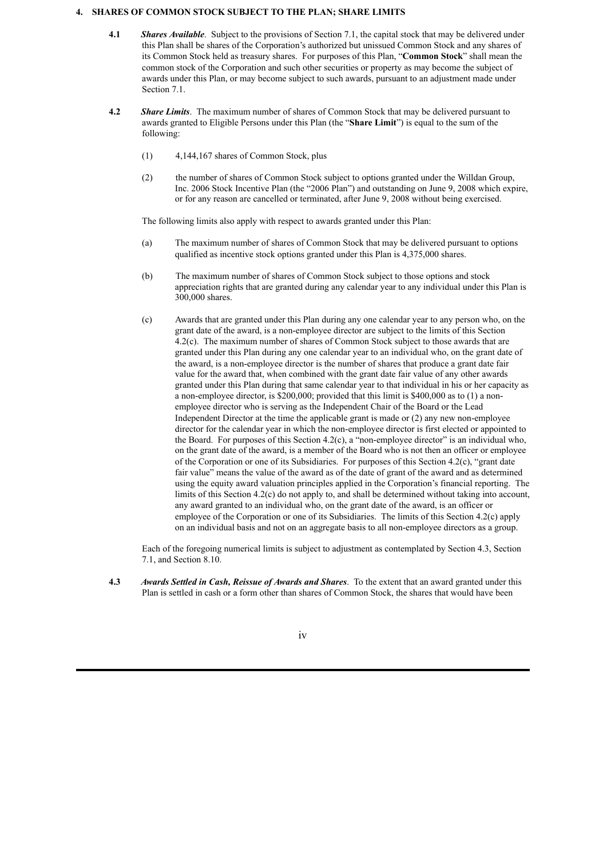### **4. SHARES OF COMMON STOCK SUBJECT TO THE PLAN; SHARE LIMITS**

- **4.1** *Shares Available*. Subject to the provisions of Section 7.1, the capital stock that may be delivered under this Plan shall be shares of the Corporation's authorized but unissued Common Stock and any shares of its Common Stock held as treasury shares. For purposes of this Plan, "**Common Stock**" shall mean the common stock of the Corporation and such other securities or property as may become the subject of awards under this Plan, or may become subject to such awards, pursuant to an adjustment made under Section 7.1.
- **4.2** *Share Limits*. The maximum number of shares of Common Stock that may be delivered pursuant to awards granted to Eligible Persons under this Plan (the "**Share Limit**") is equal to the sum of the following:
	- (1) 4,144,167 shares of Common Stock, plus
	- (2) the number of shares of Common Stock subject to options granted under the Willdan Group, Inc. 2006 Stock Incentive Plan (the "2006 Plan") and outstanding on June 9, 2008 which expire, or for any reason are cancelled or terminated, after June 9, 2008 without being exercised.

The following limits also apply with respect to awards granted under this Plan:

- (a) The maximum number of shares of Common Stock that may be delivered pursuant to options qualified as incentive stock options granted under this Plan is 4,375,000 shares.
- (b) The maximum number of shares of Common Stock subject to those options and stock appreciation rights that are granted during any calendar year to any individual under this Plan is 300,000 shares.
- (c) Awards that are granted under this Plan during any one calendar year to any person who, on the grant date of the award, is a non-employee director are subject to the limits of this Section 4.2(c). The maximum number of shares of Common Stock subject to those awards that are granted under this Plan during any one calendar year to an individual who, on the grant date of the award, is a non-employee director is the number of shares that produce a grant date fair value for the award that, when combined with the grant date fair value of any other awards granted under this Plan during that same calendar year to that individual in his or her capacity as a non-employee director, is \$200,000; provided that this limit is \$400,000 as to (1) a nonemployee director who is serving as the Independent Chair of the Board or the Lead Independent Director at the time the applicable grant is made or (2) any new non-employee director for the calendar year in which the non-employee director is first elected or appointed to the Board. For purposes of this Section 4.2(c), a "non-employee director" is an individual who, on the grant date of the award, is a member of the Board who is not then an officer or employee of the Corporation or one of its Subsidiaries. For purposes of this Section 4.2(c), "grant date fair value" means the value of the award as of the date of grant of the award and as determined using the equity award valuation principles applied in the Corporation's financial reporting. The limits of this Section 4.2(c) do not apply to, and shall be determined without taking into account, any award granted to an individual who, on the grant date of the award, is an officer or employee of the Corporation or one of its Subsidiaries. The limits of this Section 4.2(c) apply on an individual basis and not on an aggregate basis to all non-employee directors as a group.

Each of the foregoing numerical limits is subject to adjustment as contemplated by Section 4.3, Section 7.1, and Section 8.10.

**4.3** *Awards Settled in Cash, Reissue of Awards and Shares*. To the extent that an award granted under this Plan is settled in cash or a form other than shares of Common Stock, the shares that would have been

#### iv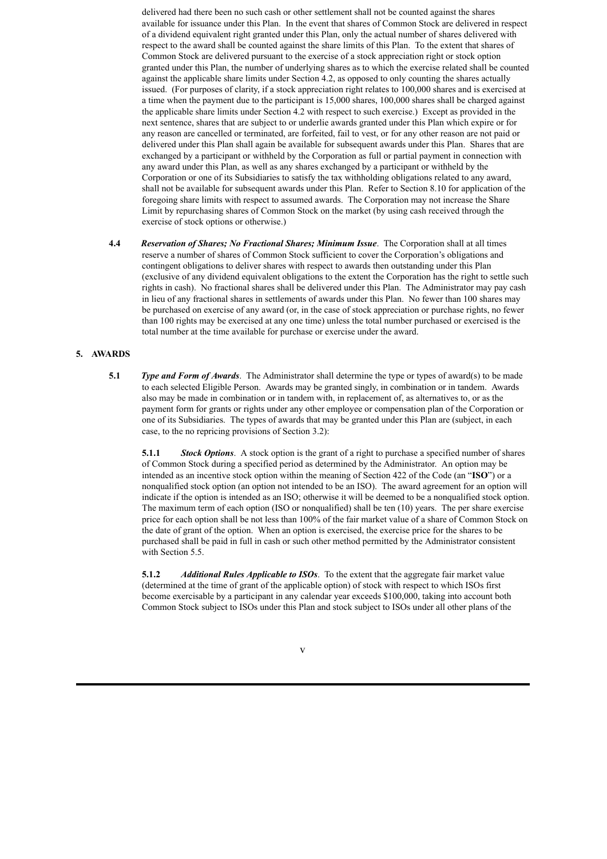delivered had there been no such cash or other settlement shall not be counted against the shares available for issuance under this Plan. In the event that shares of Common Stock are delivered in respect of a dividend equivalent right granted under this Plan, only the actual number of shares delivered with respect to the award shall be counted against the share limits of this Plan. To the extent that shares of Common Stock are delivered pursuant to the exercise of a stock appreciation right or stock option granted under this Plan, the number of underlying shares as to which the exercise related shall be counted against the applicable share limits under Section 4.2, as opposed to only counting the shares actually issued. (For purposes of clarity, if a stock appreciation right relates to 100,000 shares and is exercised at a time when the payment due to the participant is 15,000 shares, 100,000 shares shall be charged against the applicable share limits under Section 4.2 with respect to such exercise.) Except as provided in the next sentence, shares that are subject to or underlie awards granted under this Plan which expire or for any reason are cancelled or terminated, are forfeited, fail to vest, or for any other reason are not paid or delivered under this Plan shall again be available for subsequent awards under this Plan. Shares that are exchanged by a participant or withheld by the Corporation as full or partial payment in connection with any award under this Plan, as well as any shares exchanged by a participant or withheld by the Corporation or one of its Subsidiaries to satisfy the tax withholding obligations related to any award, shall not be available for subsequent awards under this Plan. Refer to Section 8.10 for application of the foregoing share limits with respect to assumed awards. The Corporation may not increase the Share Limit by repurchasing shares of Common Stock on the market (by using cash received through the exercise of stock options or otherwise.)

**4.4** *Reservation of Shares; No Fractional Shares; Minimum Issue*. The Corporation shall at all times reserve a number of shares of Common Stock sufficient to cover the Corporation's obligations and contingent obligations to deliver shares with respect to awards then outstanding under this Plan (exclusive of any dividend equivalent obligations to the extent the Corporation has the right to settle such rights in cash). No fractional shares shall be delivered under this Plan. The Administrator may pay cash in lieu of any fractional shares in settlements of awards under this Plan. No fewer than 100 shares may be purchased on exercise of any award (or, in the case of stock appreciation or purchase rights, no fewer than 100 rights may be exercised at any one time) unless the total number purchased or exercised is the total number at the time available for purchase or exercise under the award.

## **5. AWARDS**

**5.1** *Type and Form of Awards*. The Administrator shall determine the type or types of award(s) to be made to each selected Eligible Person. Awards may be granted singly, in combination or in tandem. Awards also may be made in combination or in tandem with, in replacement of, as alternatives to, or as the payment form for grants or rights under any other employee or compensation plan of the Corporation or one of its Subsidiaries. The types of awards that may be granted under this Plan are (subject, in each case, to the no repricing provisions of Section 3.2):

**5.1.1** *Stock Options*. A stock option is the grant of a right to purchase a specified number of shares of Common Stock during a specified period as determined by the Administrator. An option may be intended as an incentive stock option within the meaning of Section 422 of the Code (an "**ISO**") or a nonqualified stock option (an option not intended to be an ISO). The award agreement for an option will indicate if the option is intended as an ISO; otherwise it will be deemed to be a nonqualified stock option. The maximum term of each option (ISO or nonqualified) shall be ten (10) years. The per share exercise price for each option shall be not less than 100% of the fair market value of a share of Common Stock on the date of grant of the option. When an option is exercised, the exercise price for the shares to be purchased shall be paid in full in cash or such other method permitted by the Administrator consistent with Section 5.5.

**5.1.2** *Additional Rules Applicable to ISOs*. To the extent that the aggregate fair market value (determined at the time of grant of the applicable option) of stock with respect to which ISOs first become exercisable by a participant in any calendar year exceeds \$100,000, taking into account both Common Stock subject to ISOs under this Plan and stock subject to ISOs under all other plans of the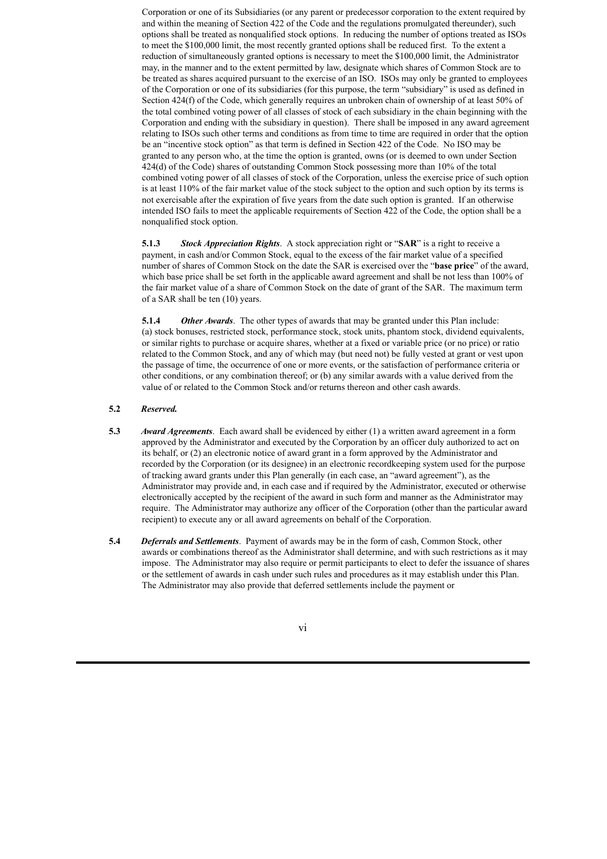Corporation or one of its Subsidiaries (or any parent or predecessor corporation to the extent required by and within the meaning of Section 422 of the Code and the regulations promulgated thereunder), such options shall be treated as nonqualified stock options. In reducing the number of options treated as ISOs to meet the \$100,000 limit, the most recently granted options shall be reduced first. To the extent a reduction of simultaneously granted options is necessary to meet the \$100,000 limit, the Administrator may, in the manner and to the extent permitted by law, designate which shares of Common Stock are to be treated as shares acquired pursuant to the exercise of an ISO. ISOs may only be granted to employees of the Corporation or one of its subsidiaries (for this purpose, the term "subsidiary" is used as defined in Section 424(f) of the Code, which generally requires an unbroken chain of ownership of at least 50% of the total combined voting power of all classes of stock of each subsidiary in the chain beginning with the Corporation and ending with the subsidiary in question). There shall be imposed in any award agreement relating to ISOs such other terms and conditions as from time to time are required in order that the option be an "incentive stock option" as that term is defined in Section 422 of the Code. No ISO may be granted to any person who, at the time the option is granted, owns (or is deemed to own under Section 424(d) of the Code) shares of outstanding Common Stock possessing more than 10% of the total combined voting power of all classes of stock of the Corporation, unless the exercise price of such option is at least 110% of the fair market value of the stock subject to the option and such option by its terms is not exercisable after the expiration of five years from the date such option is granted. If an otherwise intended ISO fails to meet the applicable requirements of Section 422 of the Code, the option shall be a nonqualified stock option.

**5.1.3** *Stock Appreciation Rights*. A stock appreciation right or "**SAR**" is a right to receive a payment, in cash and/or Common Stock, equal to the excess of the fair market value of a specified number of shares of Common Stock on the date the SAR is exercised over the "**base price**" of the award, which base price shall be set forth in the applicable award agreement and shall be not less than 100% of the fair market value of a share of Common Stock on the date of grant of the SAR. The maximum term of a SAR shall be ten (10) years.

**5.1.4** *Other Awards*. The other types of awards that may be granted under this Plan include: (a) stock bonuses, restricted stock, performance stock, stock units, phantom stock, dividend equivalents, or similar rights to purchase or acquire shares, whether at a fixed or variable price (or no price) or ratio related to the Common Stock, and any of which may (but need not) be fully vested at grant or vest upon the passage of time, the occurrence of one or more events, or the satisfaction of performance criteria or other conditions, or any combination thereof; or (b) any similar awards with a value derived from the value of or related to the Common Stock and/or returns thereon and other cash awards.

# **5.2** *Reserved.*

- **5.3** *Award Agreements*. Each award shall be evidenced by either (1) a written award agreement in a form approved by the Administrator and executed by the Corporation by an officer duly authorized to act on its behalf, or (2) an electronic notice of award grant in a form approved by the Administrator and recorded by the Corporation (or its designee) in an electronic recordkeeping system used for the purpose of tracking award grants under this Plan generally (in each case, an "award agreement"), as the Administrator may provide and, in each case and if required by the Administrator, executed or otherwise electronically accepted by the recipient of the award in such form and manner as the Administrator may require. The Administrator may authorize any officer of the Corporation (other than the particular award recipient) to execute any or all award agreements on behalf of the Corporation.
- **5.4** *Deferrals and Settlements*. Payment of awards may be in the form of cash, Common Stock, other awards or combinations thereof as the Administrator shall determine, and with such restrictions as it may impose. The Administrator may also require or permit participants to elect to defer the issuance of shares or the settlement of awards in cash under such rules and procedures as it may establish under this Plan. The Administrator may also provide that deferred settlements include the payment or

## vi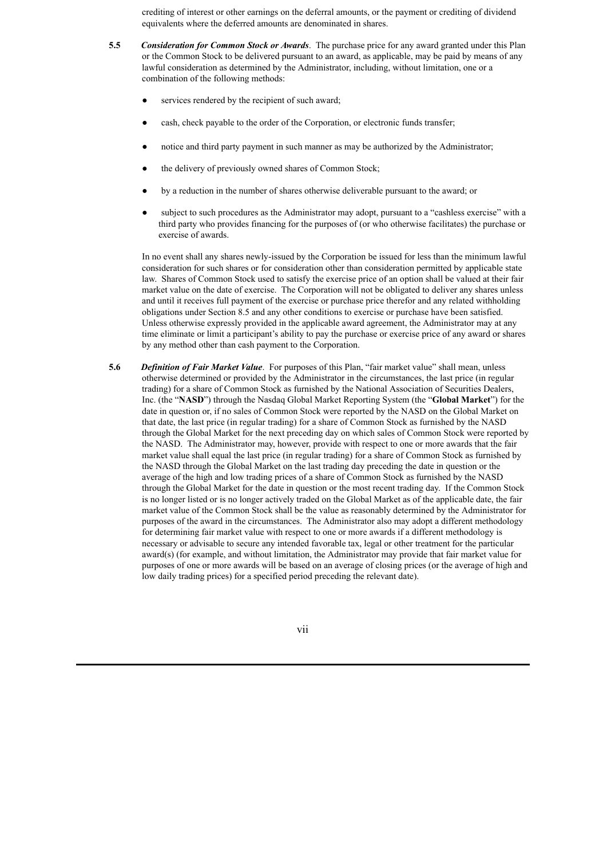crediting of interest or other earnings on the deferral amounts, or the payment or crediting of dividend equivalents where the deferred amounts are denominated in shares.

- **5.5** *Consideration for Common Stock or Awards*. The purchase price for any award granted under this Plan or the Common Stock to be delivered pursuant to an award, as applicable, may be paid by means of any lawful consideration as determined by the Administrator, including, without limitation, one or a combination of the following methods:
	- services rendered by the recipient of such award:
	- cash, check payable to the order of the Corporation, or electronic funds transfer;
	- notice and third party payment in such manner as may be authorized by the Administrator;
	- the delivery of previously owned shares of Common Stock;
	- by a reduction in the number of shares otherwise deliverable pursuant to the award; or
	- subject to such procedures as the Administrator may adopt, pursuant to a "cashless exercise" with a third party who provides financing for the purposes of (or who otherwise facilitates) the purchase or exercise of awards.

In no event shall any shares newly-issued by the Corporation be issued for less than the minimum lawful consideration for such shares or for consideration other than consideration permitted by applicable state law. Shares of Common Stock used to satisfy the exercise price of an option shall be valued at their fair market value on the date of exercise. The Corporation will not be obligated to deliver any shares unless and until it receives full payment of the exercise or purchase price therefor and any related withholding obligations under Section 8.5 and any other conditions to exercise or purchase have been satisfied. Unless otherwise expressly provided in the applicable award agreement, the Administrator may at any time eliminate or limit a participant's ability to pay the purchase or exercise price of any award or shares by any method other than cash payment to the Corporation.

**5.6** *Definition of Fair Market Value*. For purposes of this Plan, "fair market value" shall mean, unless otherwise determined or provided by the Administrator in the circumstances, the last price (in regular trading) for a share of Common Stock as furnished by the National Association of Securities Dealers, Inc. (the "**NASD**") through the Nasdaq Global Market Reporting System (the "**Global Market**") for the date in question or, if no sales of Common Stock were reported by the NASD on the Global Market on that date, the last price (in regular trading) for a share of Common Stock as furnished by the NASD through the Global Market for the next preceding day on which sales of Common Stock were reported by the NASD. The Administrator may, however, provide with respect to one or more awards that the fair market value shall equal the last price (in regular trading) for a share of Common Stock as furnished by the NASD through the Global Market on the last trading day preceding the date in question or the average of the high and low trading prices of a share of Common Stock as furnished by the NASD through the Global Market for the date in question or the most recent trading day. If the Common Stock is no longer listed or is no longer actively traded on the Global Market as of the applicable date, the fair market value of the Common Stock shall be the value as reasonably determined by the Administrator for purposes of the award in the circumstances. The Administrator also may adopt a different methodology for determining fair market value with respect to one or more awards if a different methodology is necessary or advisable to secure any intended favorable tax, legal or other treatment for the particular award(s) (for example, and without limitation, the Administrator may provide that fair market value for purposes of one or more awards will be based on an average of closing prices (or the average of high and low daily trading prices) for a specified period preceding the relevant date).

vii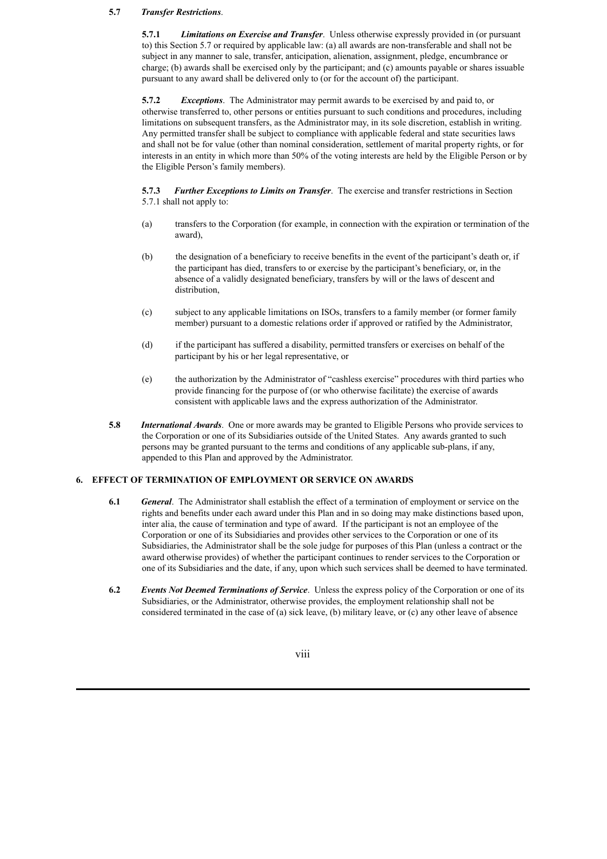# **5.7** *Transfer Restrictions*.

**5.7.1** *Limitations on Exercise and Transfer*. Unless otherwise expressly provided in (or pursuant to) this Section 5.7 or required by applicable law: (a) all awards are non-transferable and shall not be subject in any manner to sale, transfer, anticipation, alienation, assignment, pledge, encumbrance or charge; (b) awards shall be exercised only by the participant; and (c) amounts payable or shares issuable pursuant to any award shall be delivered only to (or for the account of) the participant.

**5.7.2** *Exceptions*. The Administrator may permit awards to be exercised by and paid to, or otherwise transferred to, other persons or entities pursuant to such conditions and procedures, including limitations on subsequent transfers, as the Administrator may, in its sole discretion, establish in writing. Any permitted transfer shall be subject to compliance with applicable federal and state securities laws and shall not be for value (other than nominal consideration, settlement of marital property rights, or for interests in an entity in which more than 50% of the voting interests are held by the Eligible Person or by the Eligible Person's family members).

**5.7.3** *Further Exceptions to Limits on Transfer*. The exercise and transfer restrictions in Section 5.7.1 shall not apply to:

- (a) transfers to the Corporation (for example, in connection with the expiration or termination of the award),
- (b) the designation of a beneficiary to receive benefits in the event of the participant's death or, if the participant has died, transfers to or exercise by the participant's beneficiary, or, in the absence of a validly designated beneficiary, transfers by will or the laws of descent and distribution,
- (c) subject to any applicable limitations on ISOs, transfers to a family member (or former family member) pursuant to a domestic relations order if approved or ratified by the Administrator,
- (d) if the participant has suffered a disability, permitted transfers or exercises on behalf of the participant by his or her legal representative, or
- (e) the authorization by the Administrator of "cashless exercise" procedures with third parties who provide financing for the purpose of (or who otherwise facilitate) the exercise of awards consistent with applicable laws and the express authorization of the Administrator.
- **5.8** *International Awards*. One or more awards may be granted to Eligible Persons who provide services to the Corporation or one of its Subsidiaries outside of the United States. Any awards granted to such persons may be granted pursuant to the terms and conditions of any applicable sub-plans, if any, appended to this Plan and approved by the Administrator.

# **6. EFFECT OF TERMINATION OF EMPLOYMENT OR SERVICE ON AWARDS**

- **6.1** *General*. The Administrator shall establish the effect of a termination of employment or service on the rights and benefits under each award under this Plan and in so doing may make distinctions based upon, inter alia, the cause of termination and type of award. If the participant is not an employee of the Corporation or one of its Subsidiaries and provides other services to the Corporation or one of its Subsidiaries, the Administrator shall be the sole judge for purposes of this Plan (unless a contract or the award otherwise provides) of whether the participant continues to render services to the Corporation or one of its Subsidiaries and the date, if any, upon which such services shall be deemed to have terminated.
- **6.2** *Events Not Deemed Terminations of Service*. Unless the express policy of the Corporation or one of its Subsidiaries, or the Administrator, otherwise provides, the employment relationship shall not be considered terminated in the case of (a) sick leave, (b) military leave, or (c) any other leave of absence

viii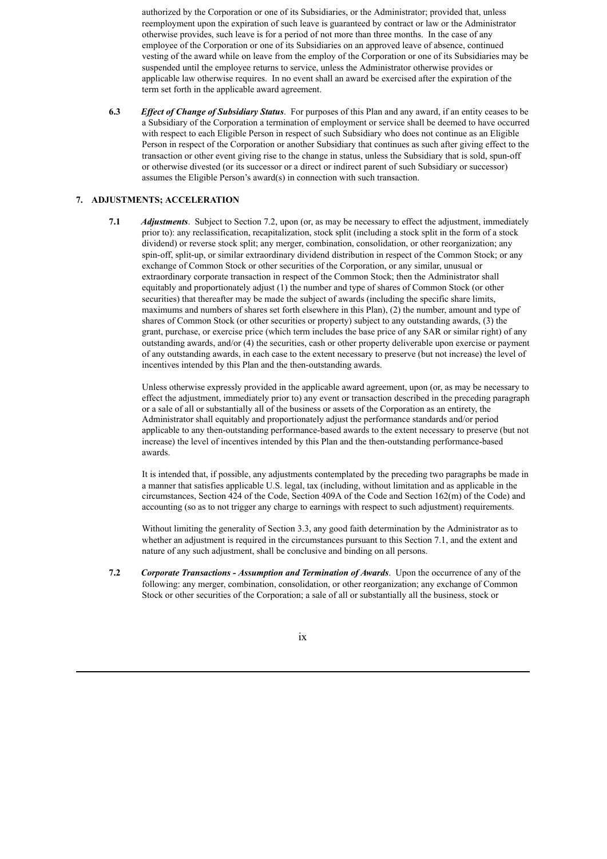authorized by the Corporation or one of its Subsidiaries, or the Administrator; provided that, unless reemployment upon the expiration of such leave is guaranteed by contract or law or the Administrator otherwise provides, such leave is for a period of not more than three months. In the case of any employee of the Corporation or one of its Subsidiaries on an approved leave of absence, continued vesting of the award while on leave from the employ of the Corporation or one of its Subsidiaries may be suspended until the employee returns to service, unless the Administrator otherwise provides or applicable law otherwise requires. In no event shall an award be exercised after the expiration of the term set forth in the applicable award agreement.

**6.3** *Ef ect of Change of Subsidiary Status*. For purposes of this Plan and any award, if an entity ceases to be a Subsidiary of the Corporation a termination of employment or service shall be deemed to have occurred with respect to each Eligible Person in respect of such Subsidiary who does not continue as an Eligible Person in respect of the Corporation or another Subsidiary that continues as such after giving effect to the transaction or other event giving rise to the change in status, unless the Subsidiary that is sold, spun-off or otherwise divested (or its successor or a direct or indirect parent of such Subsidiary or successor) assumes the Eligible Person's award(s) in connection with such transaction.

# **7. ADJUSTMENTS; ACCELERATION**

**7.1** *Adjustments*. Subject to Section 7.2, upon (or, as may be necessary to effect the adjustment, immediately prior to): any reclassification, recapitalization, stock split (including a stock split in the form of a stock dividend) or reverse stock split; any merger, combination, consolidation, or other reorganization; any spin-off, split-up, or similar extraordinary dividend distribution in respect of the Common Stock; or any exchange of Common Stock or other securities of the Corporation, or any similar, unusual or extraordinary corporate transaction in respect of the Common Stock; then the Administrator shall equitably and proportionately adjust (1) the number and type of shares of Common Stock (or other securities) that thereafter may be made the subject of awards (including the specific share limits, maximums and numbers of shares set forth elsewhere in this Plan), (2) the number, amount and type of shares of Common Stock (or other securities or property) subject to any outstanding awards, (3) the grant, purchase, or exercise price (which term includes the base price of any SAR or similar right) of any outstanding awards, and/or (4) the securities, cash or other property deliverable upon exercise or payment of any outstanding awards, in each case to the extent necessary to preserve (but not increase) the level of incentives intended by this Plan and the then-outstanding awards.

Unless otherwise expressly provided in the applicable award agreement, upon (or, as may be necessary to effect the adjustment, immediately prior to) any event or transaction described in the preceding paragraph or a sale of all or substantially all of the business or assets of the Corporation as an entirety, the Administrator shall equitably and proportionately adjust the performance standards and/or period applicable to any then-outstanding performance-based awards to the extent necessary to preserve (but not increase) the level of incentives intended by this Plan and the then-outstanding performance-based awards.

It is intended that, if possible, any adjustments contemplated by the preceding two paragraphs be made in a manner that satisfies applicable U.S. legal, tax (including, without limitation and as applicable in the circumstances, Section 424 of the Code, Section 409A of the Code and Section 162(m) of the Code) and accounting (so as to not trigger any charge to earnings with respect to such adjustment) requirements.

Without limiting the generality of Section 3.3, any good faith determination by the Administrator as to whether an adjustment is required in the circumstances pursuant to this Section 7.1, and the extent and nature of any such adjustment, shall be conclusive and binding on all persons.

**7.2** *Corporate Transactions - Assumption and Termination of Awards*. Upon the occurrence of any of the following: any merger, combination, consolidation, or other reorganization; any exchange of Common Stock or other securities of the Corporation; a sale of all or substantially all the business, stock or

#### ix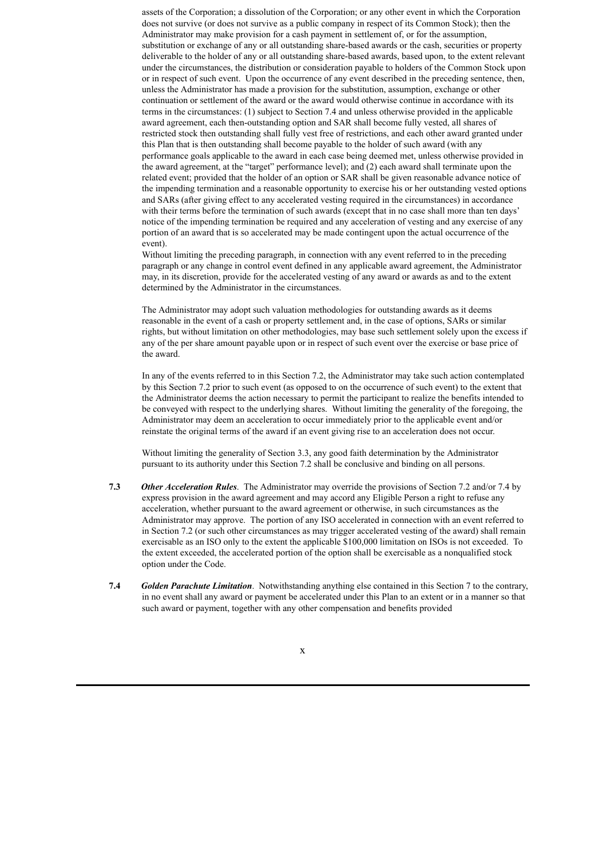assets of the Corporation; a dissolution of the Corporation; or any other event in which the Corporation does not survive (or does not survive as a public company in respect of its Common Stock); then the Administrator may make provision for a cash payment in settlement of, or for the assumption, substitution or exchange of any or all outstanding share-based awards or the cash, securities or property deliverable to the holder of any or all outstanding share-based awards, based upon, to the extent relevant under the circumstances, the distribution or consideration payable to holders of the Common Stock upon or in respect of such event. Upon the occurrence of any event described in the preceding sentence, then, unless the Administrator has made a provision for the substitution, assumption, exchange or other continuation or settlement of the award or the award would otherwise continue in accordance with its terms in the circumstances: (1) subject to Section 7.4 and unless otherwise provided in the applicable award agreement, each then-outstanding option and SAR shall become fully vested, all shares of restricted stock then outstanding shall fully vest free of restrictions, and each other award granted under this Plan that is then outstanding shall become payable to the holder of such award (with any performance goals applicable to the award in each case being deemed met, unless otherwise provided in the award agreement, at the "target" performance level); and (2) each award shall terminate upon the related event; provided that the holder of an option or SAR shall be given reasonable advance notice of the impending termination and a reasonable opportunity to exercise his or her outstanding vested options and SARs (after giving effect to any accelerated vesting required in the circumstances) in accordance with their terms before the termination of such awards (except that in no case shall more than ten days' notice of the impending termination be required and any acceleration of vesting and any exercise of any portion of an award that is so accelerated may be made contingent upon the actual occurrence of the event).

Without limiting the preceding paragraph, in connection with any event referred to in the preceding paragraph or any change in control event defined in any applicable award agreement, the Administrator may, in its discretion, provide for the accelerated vesting of any award or awards as and to the extent determined by the Administrator in the circumstances.

The Administrator may adopt such valuation methodologies for outstanding awards as it deems reasonable in the event of a cash or property settlement and, in the case of options, SARs or similar rights, but without limitation on other methodologies, may base such settlement solely upon the excess if any of the per share amount payable upon or in respect of such event over the exercise or base price of the award.

In any of the events referred to in this Section 7.2, the Administrator may take such action contemplated by this Section 7.2 prior to such event (as opposed to on the occurrence of such event) to the extent that the Administrator deems the action necessary to permit the participant to realize the benefits intended to be conveyed with respect to the underlying shares. Without limiting the generality of the foregoing, the Administrator may deem an acceleration to occur immediately prior to the applicable event and/or reinstate the original terms of the award if an event giving rise to an acceleration does not occur.

Without limiting the generality of Section 3.3, any good faith determination by the Administrator pursuant to its authority under this Section 7.2 shall be conclusive and binding on all persons.

- **7.3** *Other Acceleration Rules*. The Administrator may override the provisions of Section 7.2 and/or 7.4 by express provision in the award agreement and may accord any Eligible Person a right to refuse any acceleration, whether pursuant to the award agreement or otherwise, in such circumstances as the Administrator may approve. The portion of any ISO accelerated in connection with an event referred to in Section 7.2 (or such other circumstances as may trigger accelerated vesting of the award) shall remain exercisable as an ISO only to the extent the applicable \$100,000 limitation on ISOs is not exceeded. To the extent exceeded, the accelerated portion of the option shall be exercisable as a nonqualified stock option under the Code.
- **7.4** *Golden Parachute Limitation*. Notwithstanding anything else contained in this Section 7 to the contrary, in no event shall any award or payment be accelerated under this Plan to an extent or in a manner so that such award or payment, together with any other compensation and benefits provided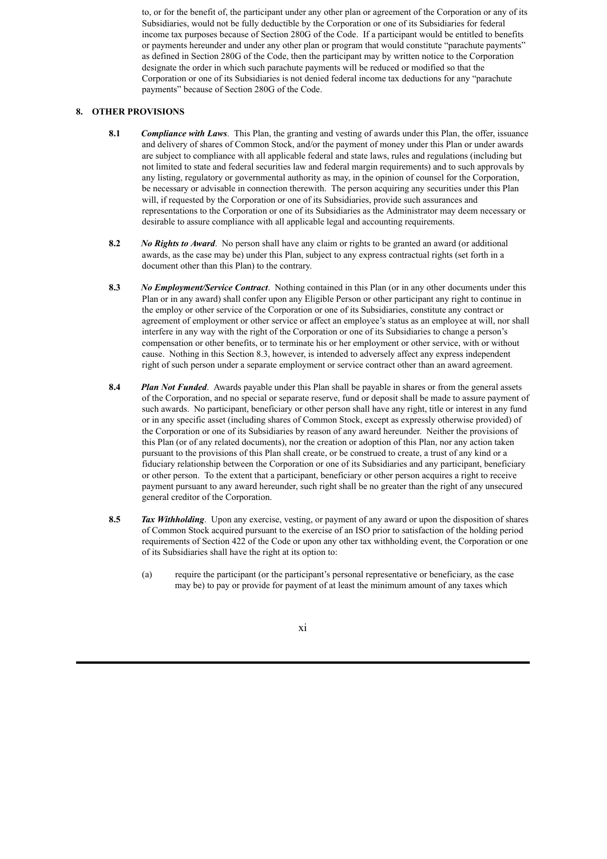to, or for the benefit of, the participant under any other plan or agreement of the Corporation or any of its Subsidiaries, would not be fully deductible by the Corporation or one of its Subsidiaries for federal income tax purposes because of Section 280G of the Code. If a participant would be entitled to benefits or payments hereunder and under any other plan or program that would constitute "parachute payments" as defined in Section 280G of the Code, then the participant may by written notice to the Corporation designate the order in which such parachute payments will be reduced or modified so that the Corporation or one of its Subsidiaries is not denied federal income tax deductions for any "parachute payments" because of Section 280G of the Code.

# **8. OTHER PROVISIONS**

- **8.1** *Compliance with Laws*. This Plan, the granting and vesting of awards under this Plan, the offer, issuance and delivery of shares of Common Stock, and/or the payment of money under this Plan or under awards are subject to compliance with all applicable federal and state laws, rules and regulations (including but not limited to state and federal securities law and federal margin requirements) and to such approvals by any listing, regulatory or governmental authority as may, in the opinion of counsel for the Corporation, be necessary or advisable in connection therewith. The person acquiring any securities under this Plan will, if requested by the Corporation or one of its Subsidiaries, provide such assurances and representations to the Corporation or one of its Subsidiaries as the Administrator may deem necessary or desirable to assure compliance with all applicable legal and accounting requirements.
- **8.2** *No Rights to Award*. No person shall have any claim or rights to be granted an award (or additional awards, as the case may be) under this Plan, subject to any express contractual rights (set forth in a document other than this Plan) to the contrary.
- **8.3** *No Employment/Service Contract*. Nothing contained in this Plan (or in any other documents under this Plan or in any award) shall confer upon any Eligible Person or other participant any right to continue in the employ or other service of the Corporation or one of its Subsidiaries, constitute any contract or agreement of employment or other service or affect an employee's status as an employee at will, nor shall interfere in any way with the right of the Corporation or one of its Subsidiaries to change a person's compensation or other benefits, or to terminate his or her employment or other service, with or without cause. Nothing in this Section 8.3, however, is intended to adversely affect any express independent right of such person under a separate employment or service contract other than an award agreement.
- **8.4** *Plan Not Funded*. Awards payable under this Plan shall be payable in shares or from the general assets of the Corporation, and no special or separate reserve, fund or deposit shall be made to assure payment of such awards. No participant, beneficiary or other person shall have any right, title or interest in any fund or in any specific asset (including shares of Common Stock, except as expressly otherwise provided) of the Corporation or one of its Subsidiaries by reason of any award hereunder. Neither the provisions of this Plan (or of any related documents), nor the creation or adoption of this Plan, nor any action taken pursuant to the provisions of this Plan shall create, or be construed to create, a trust of any kind or a fiduciary relationship between the Corporation or one of its Subsidiaries and any participant, beneficiary or other person. To the extent that a participant, beneficiary or other person acquires a right to receive payment pursuant to any award hereunder, such right shall be no greater than the right of any unsecured general creditor of the Corporation.
- **8.5** *Tax Withholding*. Upon any exercise, vesting, or payment of any award or upon the disposition of shares of Common Stock acquired pursuant to the exercise of an ISO prior to satisfaction of the holding period requirements of Section 422 of the Code or upon any other tax withholding event, the Corporation or one of its Subsidiaries shall have the right at its option to:
	- (a) require the participant (or the participant's personal representative or beneficiary, as the case may be) to pay or provide for payment of at least the minimum amount of any taxes which

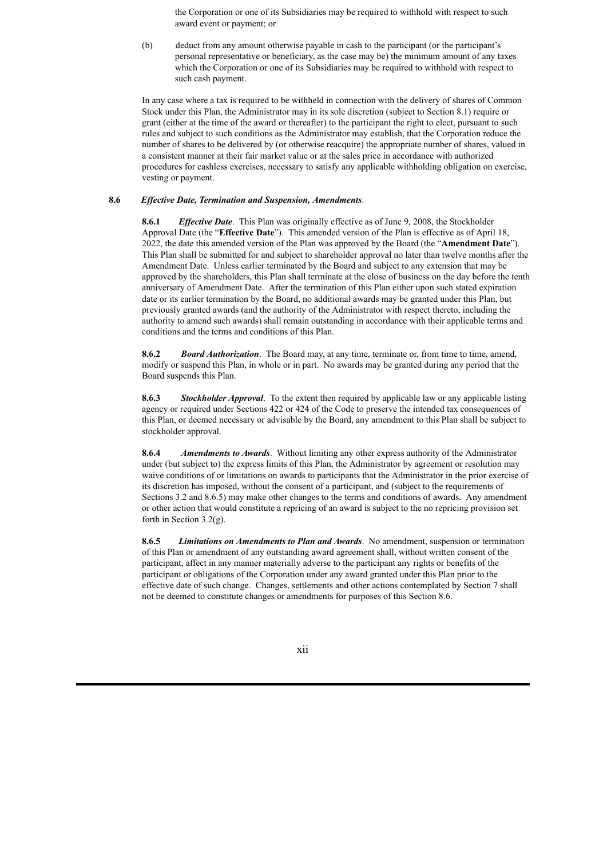the Corporation or one of its Subsidiaries may be required to withhold with respect to such award event or payment; or

(b) deduct from any amount otherwise payable in cash to the participant (or the participant's personal representative or beneficiary, as the case may be) the minimum amount of any taxes which the Corporation or one of its Subsidiaries may be required to withhold with respect to such cash payment.

In any case where a tax is required to be withheld in connection with the delivery of shares of Common Stock under this Plan, the Administrator may in its sole discretion (subject to Section 8.1) require or grant (either at the time of the award or thereafter) to the participant the right to elect, pursuant to such rules and subject to such conditions as the Administrator may establish, that the Corporation reduce the number of shares to be delivered by (or otherwise reacquire) the appropriate number of shares, valued in a consistent manner at their fair market value or at the sales price in accordance with authorized procedures for cashless exercises, necessary to satisfy any applicable withholding obligation on exercise, vesting or payment.

#### **8.6** *Ef ective Date, Termination and Suspension, Amendments*.

**8.6.1** *Effective Date*. This Plan was originally effective as of June 9, 2008, the Stockholder Approval Date (the "**Effective Date**"). This amended version of the Plan is effective as of April 18, 2022, the date this amended version of the Plan was approved by the Board (the "**Amendment Date**"). This Plan shall be submitted for and subject to shareholder approval no later than twelve months after the Amendment Date. Unless earlier terminated by the Board and subject to any extension that may be approved by the shareholders, this Plan shall terminate at the close of business on the day before the tenth anniversary of Amendment Date. After the termination of this Plan either upon such stated expiration date or its earlier termination by the Board, no additional awards may be granted under this Plan, but previously granted awards (and the authority of the Administrator with respect thereto, including the authority to amend such awards) shall remain outstanding in accordance with their applicable terms and conditions and the terms and conditions of this Plan.

**8.6.2** *Board Authorization*. The Board may, at any time, terminate or, from time to time, amend, modify or suspend this Plan, in whole or in part. No awards may be granted during any period that the Board suspends this Plan.

**8.6.3** *Stockholder Approval*. To the extent then required by applicable law or any applicable listing agency or required under Sections 422 or 424 of the Code to preserve the intended tax consequences of this Plan, or deemed necessary or advisable by the Board, any amendment to this Plan shall be subject to stockholder approval.

**8.6.4** *Amendments to Awards*. Without limiting any other express authority of the Administrator under (but subject to) the express limits of this Plan, the Administrator by agreement or resolution may waive conditions of or limitations on awards to participants that the Administrator in the prior exercise of its discretion has imposed, without the consent of a participant, and (subject to the requirements of Sections 3.2 and 8.6.5) may make other changes to the terms and conditions of awards. Any amendment or other action that would constitute a repricing of an award is subject to the no repricing provision set forth in Section 3.2(g).

**8.6.5** *Limitations on Amendments to Plan and Awards*. No amendment, suspension or termination of this Plan or amendment of any outstanding award agreement shall, without written consent of the participant, affect in any manner materially adverse to the participant any rights or benefits of the participant or obligations of the Corporation under any award granted under this Plan prior to the effective date of such change. Changes, settlements and other actions contemplated by Section 7 shall not be deemed to constitute changes or amendments for purposes of this Section 8.6.

xii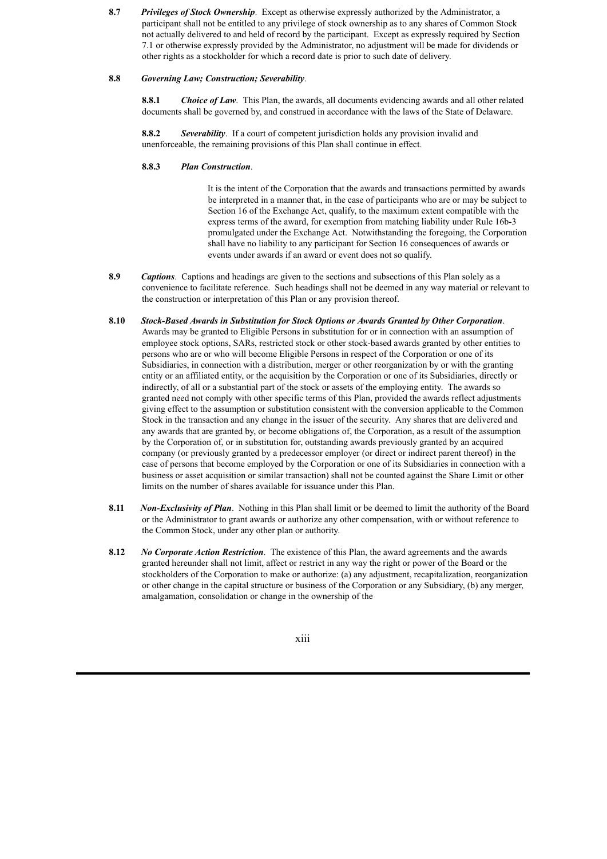**8.7** *Privileges of Stock Ownership*. Except as otherwise expressly authorized by the Administrator, a participant shall not be entitled to any privilege of stock ownership as to any shares of Common Stock not actually delivered to and held of record by the participant. Except as expressly required by Section 7.1 or otherwise expressly provided by the Administrator, no adjustment will be made for dividends or other rights as a stockholder for which a record date is prior to such date of delivery.

## **8.8** *Governing Law; Construction; Severability*.

**8.8.1** *Choice of Law*. This Plan, the awards, all documents evidencing awards and all other related documents shall be governed by, and construed in accordance with the laws of the State of Delaware.

**8.8.2** *Severability*. If a court of competent jurisdiction holds any provision invalid and unenforceable, the remaining provisions of this Plan shall continue in effect.

# **8.8.3** *Plan Construction*.

It is the intent of the Corporation that the awards and transactions permitted by awards be interpreted in a manner that, in the case of participants who are or may be subject to Section 16 of the Exchange Act, qualify, to the maximum extent compatible with the express terms of the award, for exemption from matching liability under Rule 16b-3 promulgated under the Exchange Act. Notwithstanding the foregoing, the Corporation shall have no liability to any participant for Section 16 consequences of awards or events under awards if an award or event does not so qualify.

- **8.9** *Captions*. Captions and headings are given to the sections and subsections of this Plan solely as a convenience to facilitate reference. Such headings shall not be deemed in any way material or relevant to the construction or interpretation of this Plan or any provision thereof.
- **8.10** *Stock-Based Awards in Substitution for Stock Options or Awards Granted by Other Corporation*. Awards may be granted to Eligible Persons in substitution for or in connection with an assumption of employee stock options, SARs, restricted stock or other stock-based awards granted by other entities to persons who are or who will become Eligible Persons in respect of the Corporation or one of its Subsidiaries, in connection with a distribution, merger or other reorganization by or with the granting entity or an affiliated entity, or the acquisition by the Corporation or one of its Subsidiaries, directly or indirectly, of all or a substantial part of the stock or assets of the employing entity. The awards so granted need not comply with other specific terms of this Plan, provided the awards reflect adjustments giving effect to the assumption or substitution consistent with the conversion applicable to the Common Stock in the transaction and any change in the issuer of the security. Any shares that are delivered and any awards that are granted by, or become obligations of, the Corporation, as a result of the assumption by the Corporation of, or in substitution for, outstanding awards previously granted by an acquired company (or previously granted by a predecessor employer (or direct or indirect parent thereof) in the case of persons that become employed by the Corporation or one of its Subsidiaries in connection with a business or asset acquisition or similar transaction) shall not be counted against the Share Limit or other limits on the number of shares available for issuance under this Plan.
- **8.11** *Non-Exclusivity of Plan*. Nothing in this Plan shall limit or be deemed to limit the authority of the Board or the Administrator to grant awards or authorize any other compensation, with or without reference to the Common Stock, under any other plan or authority.
- **8.12** *No Corporate Action Restriction*. The existence of this Plan, the award agreements and the awards granted hereunder shall not limit, affect or restrict in any way the right or power of the Board or the stockholders of the Corporation to make or authorize: (a) any adjustment, recapitalization, reorganization or other change in the capital structure or business of the Corporation or any Subsidiary, (b) any merger, amalgamation, consolidation or change in the ownership of the